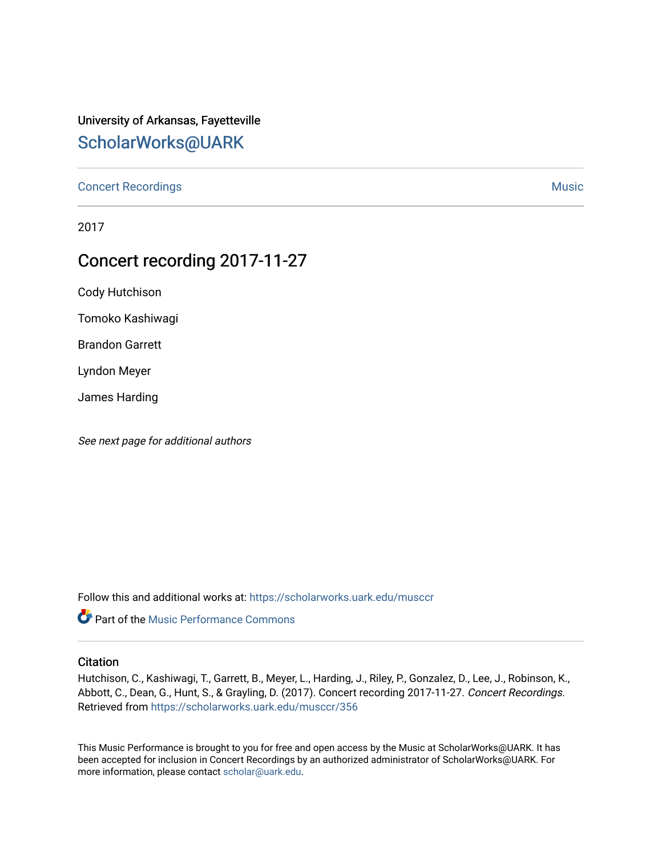### University of Arkansas, Fayetteville [ScholarWorks@UARK](https://scholarworks.uark.edu/)

[Concert Recordings](https://scholarworks.uark.edu/musccr) [Music](https://scholarworks.uark.edu/musc) Network and Security Assembly and Security Assembly Assembly Assembly Assembly Assembly

2017

## Concert recording 2017-11-27

Cody Hutchison

Tomoko Kashiwagi

Brandon Garrett

Lyndon Meyer

James Harding

See next page for additional authors

Follow this and additional works at: [https://scholarworks.uark.edu/musccr](https://scholarworks.uark.edu/musccr?utm_source=scholarworks.uark.edu%2Fmusccr%2F356&utm_medium=PDF&utm_campaign=PDFCoverPages) 



#### **Citation**

Hutchison, C., Kashiwagi, T., Garrett, B., Meyer, L., Harding, J., Riley, P., Gonzalez, D., Lee, J., Robinson, K., Abbott, C., Dean, G., Hunt, S., & Grayling, D. (2017). Concert recording 2017-11-27. Concert Recordings. Retrieved from [https://scholarworks.uark.edu/musccr/356](https://scholarworks.uark.edu/musccr/356?utm_source=scholarworks.uark.edu%2Fmusccr%2F356&utm_medium=PDF&utm_campaign=PDFCoverPages)

This Music Performance is brought to you for free and open access by the Music at ScholarWorks@UARK. It has been accepted for inclusion in Concert Recordings by an authorized administrator of ScholarWorks@UARK. For more information, please contact [scholar@uark.edu.](mailto:scholar@uark.edu)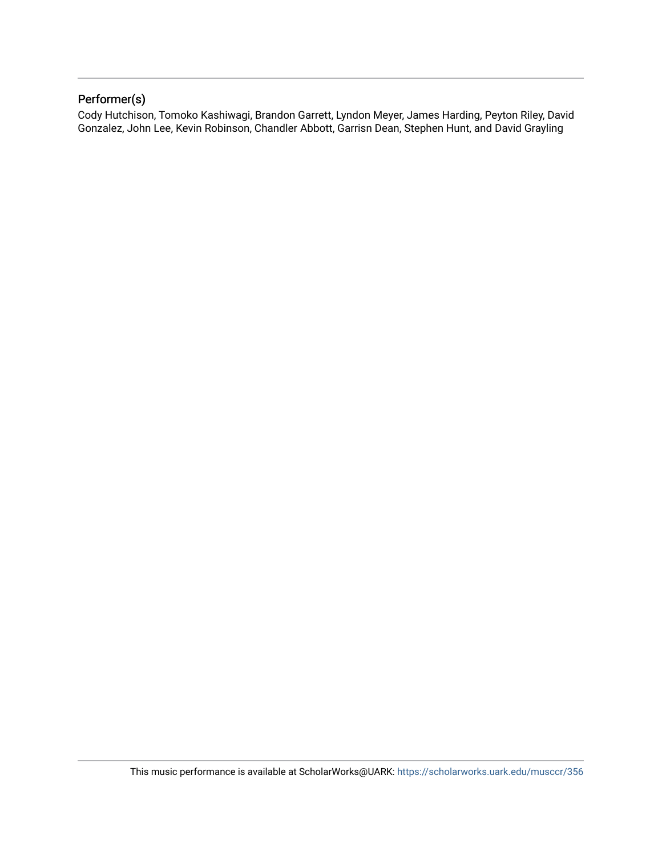### Performer(s)

Cody Hutchison, Tomoko Kashiwagi, Brandon Garrett, Lyndon Meyer, James Harding, Peyton Riley, David Gonzalez, John Lee, Kevin Robinson, Chandler Abbott, Garrisn Dean, Stephen Hunt, and David Grayling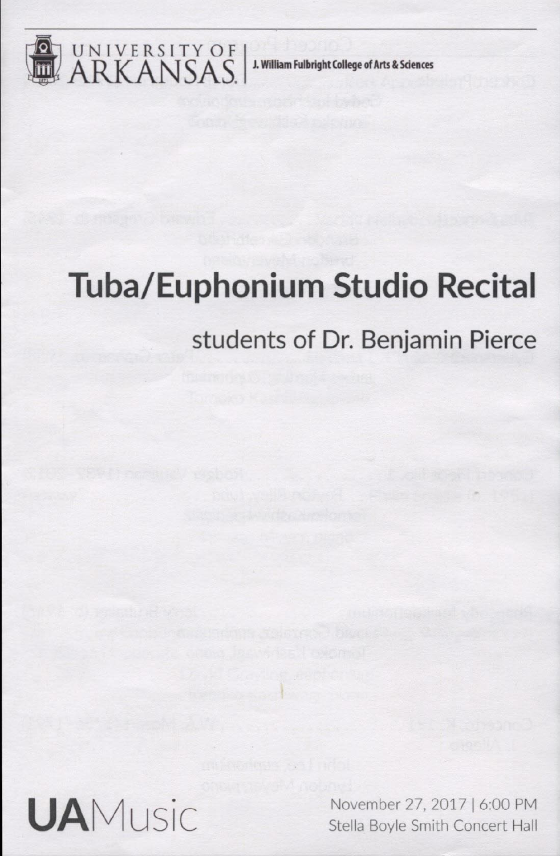

UNIVERSITY OF | J. William Fulbright College of Arts & Sciences

# **Tuba/Euphonium Studio Recital**

# **students of Dr. Benjamin Pierce**



November 27, 2017 | 6:00 PM<br>Stella Boyle Smith Concert Hall Stella Boyle Smith Concert Hall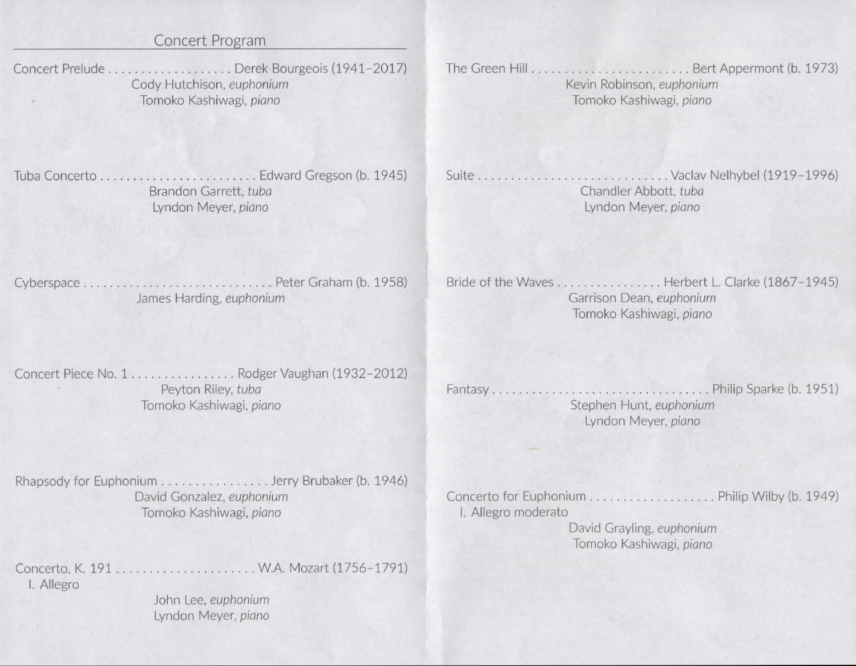### Concert Program

Concert Prelude . . . . . . . . . . . . . . . . . . Derek Bourgeois (1941-2017) Cody Hutchison, euphonium Tomoko Kashiwagi, *piano*

The Green Hill. . . . Bert Appermont (b. 1973) Kevin Robinson, *euphonium* Tomoko Kashiwagi, *piano*

Tuba Concerto Edward Gregson (b. 1945) Brandon Garrett, *tuba* Lyndon Meyer, piano

Suite Vaclav Nelhybel (1919-1996) Chandler Abbott, *tuba* Lyndon Meyer, *piano*

Cyberspace Peter Graham (b. 1958) James Harding, *euphonium*

Bride of the Waves. . . . . . . . .... Herbert L. Clarke (1867-1945) Garrison Dean, *euphonium* Tomoko Kashiwagi, piano

Concert Piece No. 1 . . . . . . . . . . . . . . . Rodger Vaughan (1932-2012) Peyton Riley, *tuba* Tomoko Kashiwagi, *piano*

Fantasy Philip Sparke (b 1951) Stephen Hunt, *euphonium* Lyndon Meyer, *piano*

Rhapsody for Euphonium . . . . . . . . . . . . . . . . Jerry Brubaker (b. 1946) David Gonzalez, *euphonium* Tomoko Kashiwagi, piano

Concerto, K. 191 . .WA. Mozart (1756-1791) I. Allegro John Lee, *euphonium*

Lyndon Meyer, *piano*

Concerto for Euphonium Philip Wilby (b. 1949) I. Allegro moderato

David Grayling, *euphonium* Tomoko Kashiwagi, *piano*